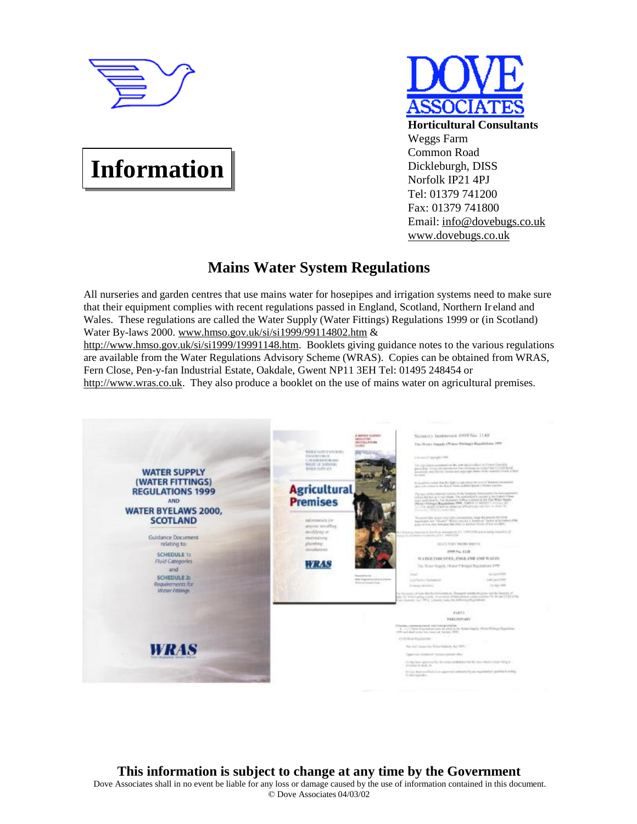

# **Information**

**Horticultural Consultants** Weggs Farm Common Road Dickleburgh, DISS Norfolk IP21 4PJ Tel: 01379 741200 Fax: 01379 741800 Email: [info@dovebugs.co.uk](mailto:info@dovebugs.co.uk) [www.dovebugs.co.uk](http://www.dovebugs.co.uk)

## **Mains Water System Regulations**

All nurseries and garden centres that use mains water for hosepipes and irrigation systems need to make sure that their equipment complies with recent regulations passed in England, Scotland, Northern Ir eland and Wales. These regulations are called the Water Supply (Water Fittings) Regulations 1999 or (in Scotland) Water By-laws 2000. [www.hmso.gov.uk/si/si1999/99114802.htm](http://www.hmso.gov.uk/si/si1999/99114802.htm) &

<http://www.hmso.gov.uk/si/si1999/19991148.htm>. Booklets giving guidance notes to the various regulations are available from the Water Regulations Advisory Scheme (WRAS). Copies can be obtained from WRAS, Fern Close, Pen-y-fan Industrial Estate, Oakdale, Gwent NP11 3EH Tel: 01495 248454 or <http://www.wras.co.uk>. They also produce a booklet on the use of mains water on agricultural premises.

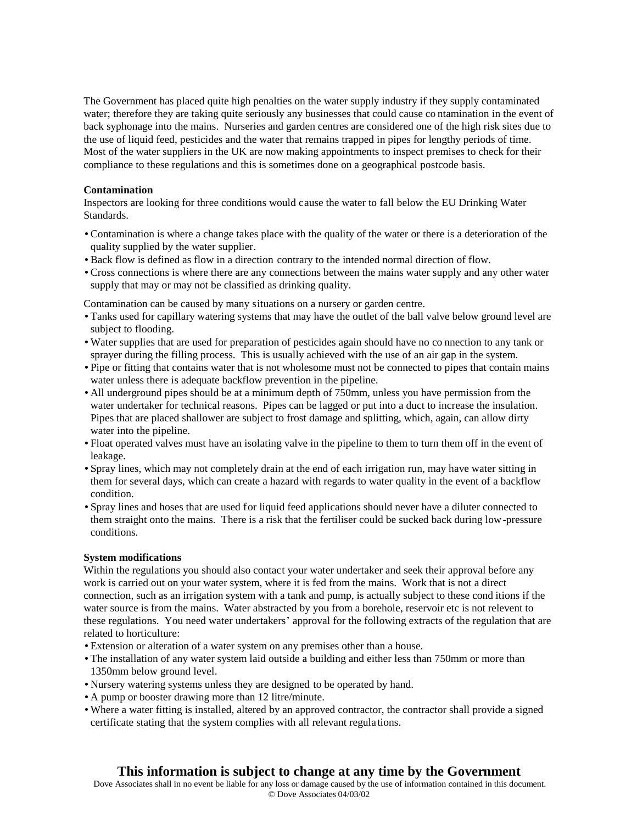The Government has placed quite high penalties on the water supply industry if they supply contaminated water; therefore they are taking quite seriously any businesses that could cause co ntamination in the event of back syphonage into the mains. Nurseries and garden centres are considered one of the high risk sites due to the use of liquid feed, pesticides and the water that remains trapped in pipes for lengthy periods of time. Most of the water suppliers in the UK are now making appointments to inspect premises to check for their compliance to these regulations and this is sometimes done on a geographical postcode basis.

#### **Contamination**

Inspectors are looking for three conditions would cause the water to fall below the EU Drinking Water Standards.

- Contamination is where a change takes place with the quality of the water or there is a deterioration of the quality supplied by the water supplier.
- Back flow is defined as flow in a direction contrary to the intended normal direction of flow.
- Cross connections is where there are any connections between the mains water supply and any other water supply that may or may not be classified as drinking quality.

Contamination can be caused by many situations on a nursery or garden centre.

- Tanks used for capillary watering systems that may have the outlet of the ball valve below ground level are subject to flooding.
- Water supplies that are used for preparation of pesticides again should have no co nnection to any tank or sprayer during the filling process. This is usually achieved with the use of an air gap in the system.
- Pipe or fitting that contains water that is not wholesome must not be connected to pipes that contain mains water unless there is adequate backflow prevention in the pipeline.
- All underground pipes should be at a minimum depth of 750mm, unless you have permission from the water undertaker for technical reasons. Pipes can be lagged or put into a duct to increase the insulation. Pipes that are placed shallower are subject to frost damage and splitting, which, again, can allow dirty water into the pipeline.
- Float operated valves must have an isolating valve in the pipeline to them to turn them off in the event of leakage.
- Spray lines, which may not completely drain at the end of each irrigation run, may have water sitting in them for several days, which can create a hazard with regards to water quality in the event of a backflow condition.
- Spray lines and hoses that are used for liquid feed applications should never have a diluter connected to them straight onto the mains. There is a risk that the fertiliser could be sucked back during low-pressure conditions.

#### **System modifications**

Within the regulations you should also contact your water undertaker and seek their approval before any work is carried out on your water system, where it is fed from the mains. Work that is not a direct connection, such as an irrigation system with a tank and pump, is actually subject to these cond itions if the water source is from the mains. Water abstracted by you from a borehole, reservoir etc is not relevent to these regulations. You need water undertakers' approval for the following extracts of the regulation that are related to horticulture:

- Extension or alteration of a water system on any premises other than a house.
- The installation of any water system laid outside a building and either less than 750mm or more than 1350mm below ground level.
- Nursery watering systems unless they are designed to be operated by hand.
- A pump or booster drawing more than 12 litre/minute.
- Where a water fitting is installed, altered by an approved contractor, the contractor shall provide a signed certificate stating that the system complies with all relevant regula tions.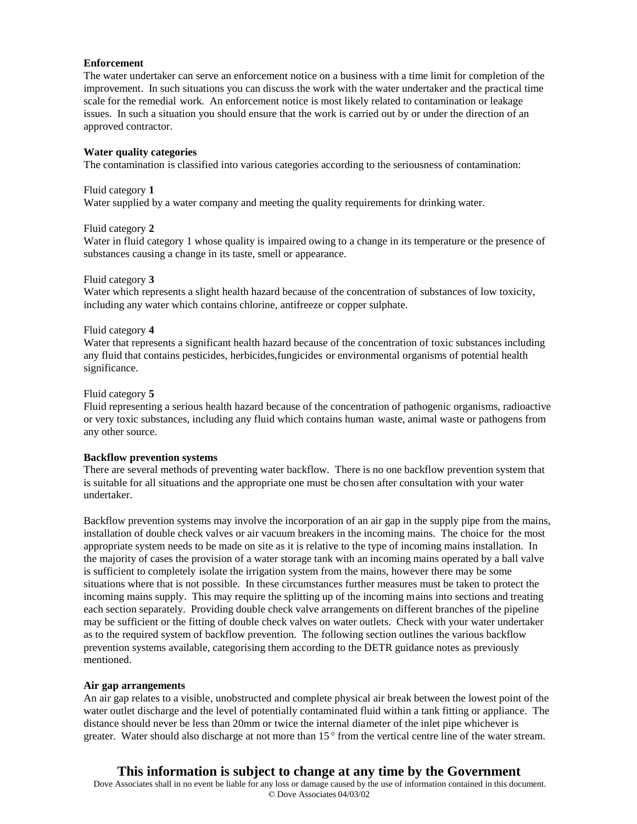#### **Enforcement**

The water undertaker can serve an enforcement notice on a business with a time limit for completion of the improvement. In such situations you can discuss the work with the water undertaker and the practical time scale for the remedial work. An enforcement notice is most likely related to contamination or leakage issues. In such a situation you should ensure that the work is carried out by or under the direction of an approved contractor.

#### **Water quality categories**

The contamination is classified into various categories according to the seriousness of contamination:

#### Fluid category **1**

Water supplied by a water company and meeting the quality requirements for drinking water.

Fluid category **2**

Water in fluid category 1 whose quality is impaired owing to a change in its temperature or the presence of substances causing a change in its taste, smell or appearance.

#### Fluid category **3**

Water which represents a slight health hazard because of the concentration of substances of low toxicity, including any water which contains chlorine, antifreeze or copper sulphate.

#### Fluid category **4**

Water that represents a significant health hazard because of the concentration of toxic substances including any fluid that contains pesticides, herbicides,fungicides or environmental organisms of potential health significance.

#### Fluid category **5**

Fluid representing a serious health hazard because of the concentration of pathogenic organisms, radioactive or very toxic substances, including any fluid which contains human waste, animal waste or pathogens from any other source.

#### **Backflow prevention systems**

There are several methods of preventing water backflow. There is no one backflow prevention system that is suitable for all situations and the appropriate one must be chosen after consultation with your water undertaker.

Backflow prevention systems may involve the incorporation of an air gap in the supply pipe from the mains, installation of double check valves or air vacuum breakers in the incoming mains. The choice for the most appropriate system needs to be made on site as it is relative to the type of incoming mains installation. In the majority of cases the provision of a water storage tank with an incoming mains operated by a ball valve is sufficient to completely isolate the irrigation system from the mains, however there may be some situations where that is not possible. In these circumstances further measures must be taken to protect the incoming mains supply. This may require the splitting up of the incoming mains into sections and treating each section separately. Providing double check valve arrangements on different branches of the pipeline may be sufficient or the fitting of double check valves on water outlets. Check with your water undertaker as to the required system of backflow prevention. The following section outlines the various backflow prevention systems available, categorising them according to the DETR guidance notes as previously mentioned.

#### **Air gap arrangements**

An air gap relates to a visible, unobstructed and complete physical air break between the lowest point of the water outlet discharge and the level of potentially contaminated fluid within a tank fitting or appliance. The distance should never be less than 20mm or twice the internal diameter of the inlet pipe whichever is greater. Water should also discharge at not more than 15 ° from the vertical centre line of the water stream.

## **This information is subject to change at any time by the Government**

Dove Associates shall in no event be liable for any loss or damage caused by the use of information contained in this document. © Dove Associates 04/03/02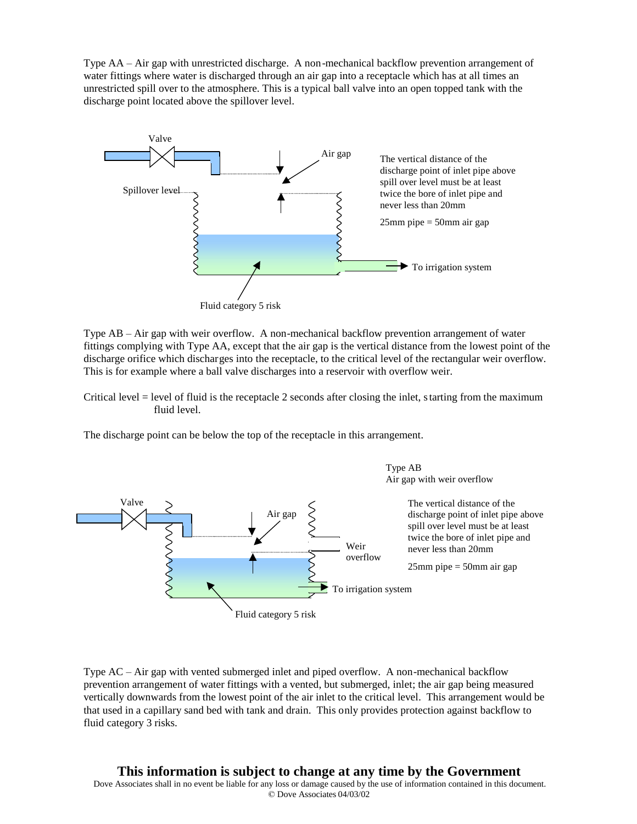Type AA – Air gap with unrestricted discharge. A non-mechanical backflow prevention arrangement of water fittings where water is discharged through an air gap into a receptacle which has at all times an unrestricted spill over to the atmosphere. This is a typical ball valve into an open topped tank with the discharge point located above the spillover level.



Type AB – Air gap with weir overflow. A non-mechanical backflow prevention arrangement of water fittings complying with Type AA, except that the air gap is the vertical distance from the lowest point of the discharge orifice which discharges into the receptacle, to the critical level of the rectangular weir overflow. This is for example where a ball valve discharges into a reservoir with overflow weir.

Critical level = level of fluid is the receptacle 2 seconds after closing the inlet, starting from the maximum fluid level.

The discharge point can be below the top of the receptacle in this arrangement.



Type AC – Air gap with vented submerged inlet and piped overflow. A non-mechanical backflow prevention arrangement of water fittings with a vented, but submerged, inlet; the air gap being measured vertically downwards from the lowest point of the air inlet to the critical level. This arrangement would be that used in a capillary sand bed with tank and drain. This only provides protection against backflow to fluid category 3 risks.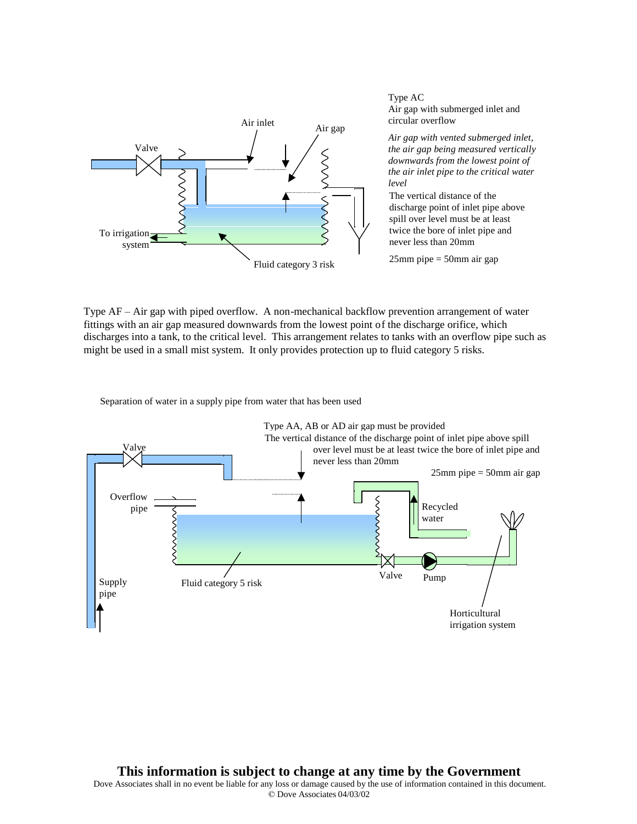

Type AC Air gap with submerged inlet and circular overflow

*Air gap with vented submerged inlet, the air gap being measured vertically downwards from the lowest point of the air inlet pipe to the critical water level*

The vertical distance of the discharge point of inlet pipe above spill over level must be at least twice the bore of inlet pipe and never less than 20mm

Type AF – Air gap with piped overflow. A non-mechanical backflow prevention arrangement of water fittings with an air gap measured downwards from the lowest point of the discharge orifice, which discharges into a tank, to the critical level. This arrangement relates to tanks with an overflow pipe such as might be used in a small mist system. It only provides protection up to fluid category 5 risks.

Separation of water in a supply pipe from water that has been used

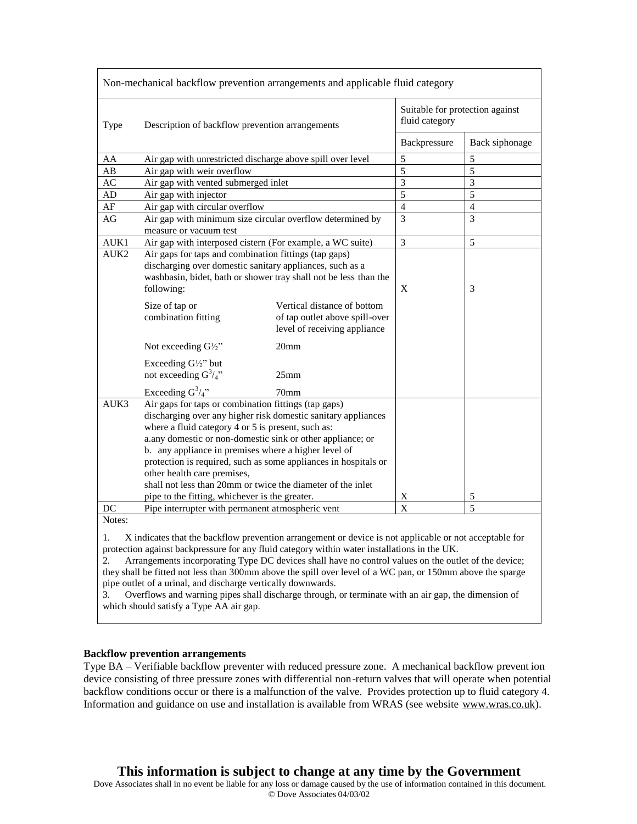| Non-mechanical backflow prevention arrangements and applicable fluid category                                |                                                                                                                                                                                                                                                                                                                                                                                                                                                                                                                      |                                                                                               |                                                   |                |
|--------------------------------------------------------------------------------------------------------------|----------------------------------------------------------------------------------------------------------------------------------------------------------------------------------------------------------------------------------------------------------------------------------------------------------------------------------------------------------------------------------------------------------------------------------------------------------------------------------------------------------------------|-----------------------------------------------------------------------------------------------|---------------------------------------------------|----------------|
| Type                                                                                                         | Description of backflow prevention arrangements                                                                                                                                                                                                                                                                                                                                                                                                                                                                      |                                                                                               | Suitable for protection against<br>fluid category |                |
|                                                                                                              |                                                                                                                                                                                                                                                                                                                                                                                                                                                                                                                      |                                                                                               | Backpressure                                      | Back siphonage |
| AA                                                                                                           | Air gap with unrestricted discharge above spill over level                                                                                                                                                                                                                                                                                                                                                                                                                                                           |                                                                                               | 5                                                 | 5              |
| AB                                                                                                           | Air gap with weir overflow                                                                                                                                                                                                                                                                                                                                                                                                                                                                                           |                                                                                               | 5                                                 | $\overline{5}$ |
| AC                                                                                                           | Air gap with vented submerged inlet                                                                                                                                                                                                                                                                                                                                                                                                                                                                                  |                                                                                               | 3                                                 | 3              |
| AD                                                                                                           | Air gap with injector                                                                                                                                                                                                                                                                                                                                                                                                                                                                                                |                                                                                               | 5                                                 | $\overline{5}$ |
| AF                                                                                                           | Air gap with circular overflow                                                                                                                                                                                                                                                                                                                                                                                                                                                                                       |                                                                                               | $\overline{4}$                                    | $\overline{4}$ |
| AG                                                                                                           | Air gap with minimum size circular overflow determined by                                                                                                                                                                                                                                                                                                                                                                                                                                                            |                                                                                               | $\overline{3}$                                    | 3              |
|                                                                                                              | measure or vacuum test                                                                                                                                                                                                                                                                                                                                                                                                                                                                                               |                                                                                               |                                                   |                |
| AUK1                                                                                                         | Air gap with interposed cistern (For example, a WC suite)                                                                                                                                                                                                                                                                                                                                                                                                                                                            |                                                                                               | 3                                                 | 5              |
| AUK2                                                                                                         | Air gaps for taps and combination fittings (tap gaps)<br>discharging over domestic sanitary appliances, such as a<br>washbasin, bidet, bath or shower tray shall not be less than the<br>following:                                                                                                                                                                                                                                                                                                                  |                                                                                               | X                                                 | 3              |
|                                                                                                              | Size of tap or<br>combination fitting                                                                                                                                                                                                                                                                                                                                                                                                                                                                                | Vertical distance of bottom<br>of tap outlet above spill-over<br>level of receiving appliance |                                                   |                |
|                                                                                                              | Not exceeding $G\frac{1}{2}$ "                                                                                                                                                                                                                                                                                                                                                                                                                                                                                       | 20 <sub>mm</sub>                                                                              |                                                   |                |
|                                                                                                              | Exceeding G1/2" but<br>not exceeding $G^3/4$ "                                                                                                                                                                                                                                                                                                                                                                                                                                                                       | 25mm                                                                                          |                                                   |                |
|                                                                                                              | Exceeding $G^3/4$ "                                                                                                                                                                                                                                                                                                                                                                                                                                                                                                  | 70mm                                                                                          |                                                   |                |
| AUK3                                                                                                         | Air gaps for taps or combination fittings (tap gaps)<br>discharging over any higher risk domestic sanitary appliances<br>where a fluid category 4 or 5 is present, such as:<br>a.any domestic or non-domestic sink or other appliance; or<br>b. any appliance in premises where a higher level of<br>protection is required, such as some appliances in hospitals or<br>other health care premises,<br>shall not less than 20mm or twice the diameter of the inlet<br>pipe to the fitting, whichever is the greater. |                                                                                               | $\mathbf X$                                       | 5              |
| DC                                                                                                           | Pipe interrupter with permanent atmospheric vent                                                                                                                                                                                                                                                                                                                                                                                                                                                                     |                                                                                               | X                                                 | 5              |
| Notes:                                                                                                       |                                                                                                                                                                                                                                                                                                                                                                                                                                                                                                                      |                                                                                               |                                                   |                |
| X indicates that the backflow prevention arrangement or device is not applicable or not acceptable for<br>1. |                                                                                                                                                                                                                                                                                                                                                                                                                                                                                                                      |                                                                                               |                                                   |                |

protection against backpressure for any fluid category within water installations in the UK.

2. Arrangements incorporating Type DC devices shall have no control values on the outlet of the device; they shall be fitted not less than 300mm above the spill over level of a WC pan, or 150mm above the sparge pipe outlet of a urinal, and discharge vertically downwards.

3. Overflows and warning pipes shall discharge through, or terminate with an air gap, the dimension of which should satisfy a Type AA air gap.

#### **Backflow prevention arrangements**

Type BA – Verifiable backflow preventer with reduced pressure zone. A mechanical backflow prevent ion device consisting of three pressure zones with differential non-return valves that will operate when potential backflow conditions occur or there is a malfunction of the valve. Provides protection up to fluid category 4. Information and guidance on use and installation is available from WRAS (see website [www.wras.co.uk\)](http://www.wras.co.uk).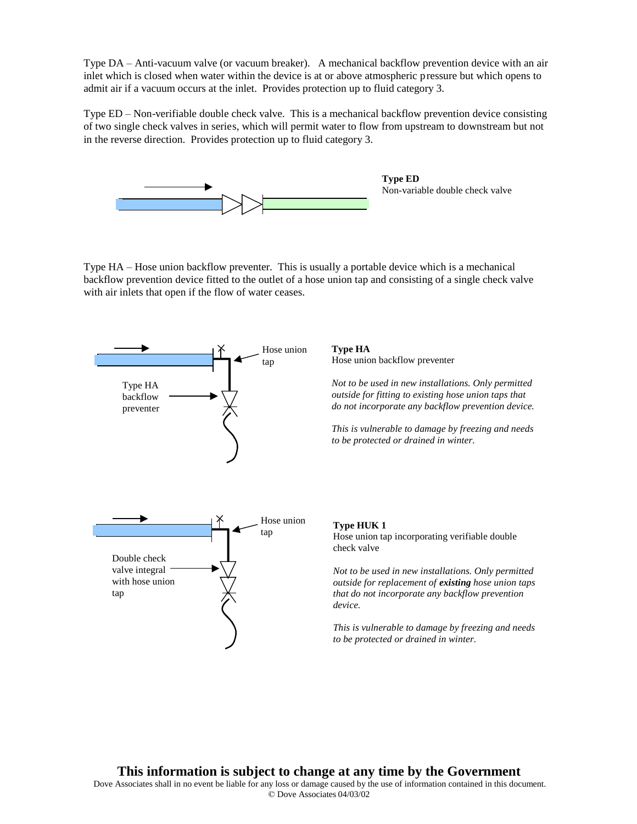Type DA – Anti-vacuum valve (or vacuum breaker). A mechanical backflow prevention device with an air inlet which is closed when water within the device is at or above atmospheric pressure but which opens to admit air if a vacuum occurs at the inlet. Provides protection up to fluid category 3.

Type ED – Non-verifiable double check valve. This is a mechanical backflow prevention device consisting of two single check valves in series, which will permit water to flow from upstream to downstream but not in the reverse direction. Provides protection up to fluid category 3.



**Type ED** Non-variable double check valve

Type HA – Hose union backflow preventer. This is usually a portable device which is a mechanical backflow prevention device fitted to the outlet of a hose union tap and consisting of a single check valve with air inlets that open if the flow of water ceases.



**Type HA** Hose union backflow preventer

*Not to be used in new installations. Only permitted outside for fitting to existing hose union taps that do not incorporate any backflow prevention device.*

*This is vulnerable to damage by freezing and needs to be protected or drained in winter.*

#### **Type HUK 1**

Hose union tap incorporating verifiable double check valve

*Not to be used in new installations. Only permitted outside for replacement of existing hose union taps that do not incorporate any backflow prevention device.*

*This is vulnerable to damage by freezing and needs to be protected or drained in winter.*

#### **This information is subject to change at any time by the Government**

Dove Associates shall in no event be liable for any loss or damage caused by the use of information contained in this document. © Dove Associates 04/03/02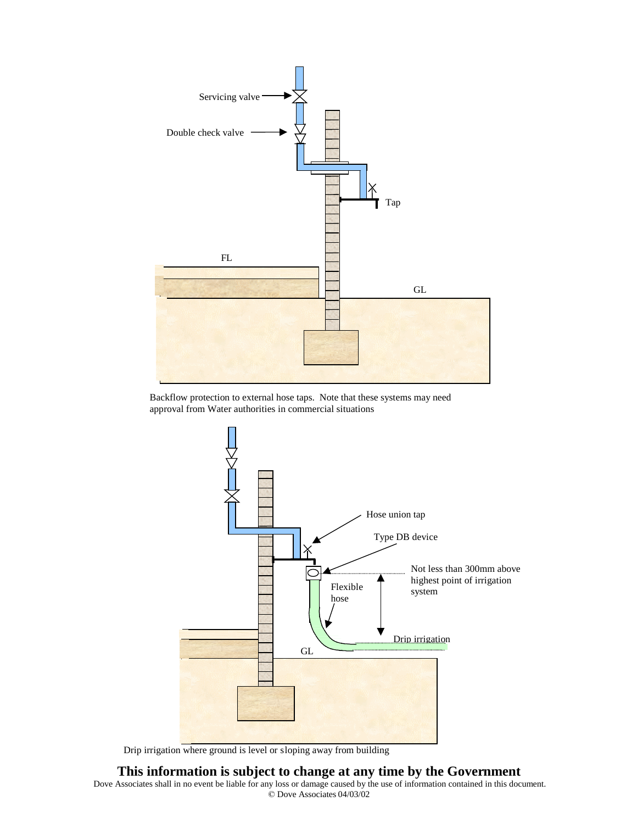

Backflow protection to external hose taps. Note that these systems may need approval from Water authorities in commercial situations



Drip irrigation where ground is level or sloping away from building

#### **This information is subject to change at any time by the Government**

Dove Associates shall in no event be liable for any loss or damage caused by the use of information contained in this document. © Dove Associates 04/03/02